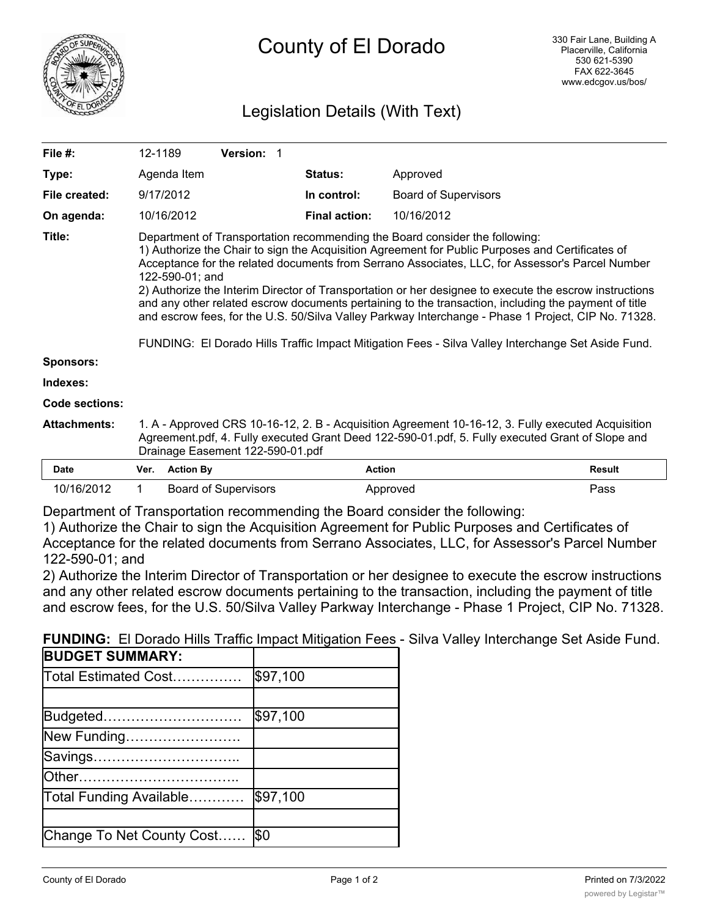

# Legislation Details (With Text)

| File #:             | 12-1189                                                                                                                                                                                                                                                                                                                                                                                                                                                                                                                                                                                                                                                                                                                              |                                                                                                                                                                                                                                            |  | <b>Version: 1</b> |  |  |  |                      |               |                             |        |
|---------------------|--------------------------------------------------------------------------------------------------------------------------------------------------------------------------------------------------------------------------------------------------------------------------------------------------------------------------------------------------------------------------------------------------------------------------------------------------------------------------------------------------------------------------------------------------------------------------------------------------------------------------------------------------------------------------------------------------------------------------------------|--------------------------------------------------------------------------------------------------------------------------------------------------------------------------------------------------------------------------------------------|--|-------------------|--|--|--|----------------------|---------------|-----------------------------|--------|
| Type:               |                                                                                                                                                                                                                                                                                                                                                                                                                                                                                                                                                                                                                                                                                                                                      | Agenda Item                                                                                                                                                                                                                                |  |                   |  |  |  | Status:              |               | Approved                    |        |
| File created:       |                                                                                                                                                                                                                                                                                                                                                                                                                                                                                                                                                                                                                                                                                                                                      | 9/17/2012                                                                                                                                                                                                                                  |  |                   |  |  |  | In control:          |               | <b>Board of Supervisors</b> |        |
| On agenda:          |                                                                                                                                                                                                                                                                                                                                                                                                                                                                                                                                                                                                                                                                                                                                      | 10/16/2012                                                                                                                                                                                                                                 |  |                   |  |  |  | <b>Final action:</b> |               | 10/16/2012                  |        |
| Title:              | Department of Transportation recommending the Board consider the following:<br>1) Authorize the Chair to sign the Acquisition Agreement for Public Purposes and Certificates of<br>Acceptance for the related documents from Serrano Associates, LLC, for Assessor's Parcel Number<br>122-590-01; and<br>2) Authorize the Interim Director of Transportation or her designee to execute the escrow instructions<br>and any other related escrow documents pertaining to the transaction, including the payment of title<br>and escrow fees, for the U.S. 50/Silva Valley Parkway Interchange - Phase 1 Project, CIP No. 71328.<br>FUNDING: El Dorado Hills Traffic Impact Mitigation Fees - Silva Valley Interchange Set Aside Fund. |                                                                                                                                                                                                                                            |  |                   |  |  |  |                      |               |                             |        |
| <b>Sponsors:</b>    |                                                                                                                                                                                                                                                                                                                                                                                                                                                                                                                                                                                                                                                                                                                                      |                                                                                                                                                                                                                                            |  |                   |  |  |  |                      |               |                             |        |
| Indexes:            |                                                                                                                                                                                                                                                                                                                                                                                                                                                                                                                                                                                                                                                                                                                                      |                                                                                                                                                                                                                                            |  |                   |  |  |  |                      |               |                             |        |
| Code sections:      |                                                                                                                                                                                                                                                                                                                                                                                                                                                                                                                                                                                                                                                                                                                                      |                                                                                                                                                                                                                                            |  |                   |  |  |  |                      |               |                             |        |
| <b>Attachments:</b> |                                                                                                                                                                                                                                                                                                                                                                                                                                                                                                                                                                                                                                                                                                                                      | 1. A - Approved CRS 10-16-12, 2. B - Acquisition Agreement 10-16-12, 3. Fully executed Acquisition<br>Agreement.pdf, 4. Fully executed Grant Deed 122-590-01.pdf, 5. Fully executed Grant of Slope and<br>Drainage Easement 122-590-01.pdf |  |                   |  |  |  |                      |               |                             |        |
| <b>Date</b>         | Ver.                                                                                                                                                                                                                                                                                                                                                                                                                                                                                                                                                                                                                                                                                                                                 | <b>Action By</b>                                                                                                                                                                                                                           |  |                   |  |  |  |                      | <b>Action</b> |                             | Result |
| 10/16/2012          | 1                                                                                                                                                                                                                                                                                                                                                                                                                                                                                                                                                                                                                                                                                                                                    | <b>Board of Supervisors</b>                                                                                                                                                                                                                |  |                   |  |  |  |                      | Approved      |                             | Pass   |

Department of Transportation recommending the Board consider the following:

1) Authorize the Chair to sign the Acquisition Agreement for Public Purposes and Certificates of Acceptance for the related documents from Serrano Associates, LLC, for Assessor's Parcel Number 122-590-01; and

2) Authorize the Interim Director of Transportation or her designee to execute the escrow instructions and any other related escrow documents pertaining to the transaction, including the payment of title and escrow fees, for the U.S. 50/Silva Valley Parkway Interchange - Phase 1 Project, CIP No. 71328.

| <b>BUDGET SUMMARY:</b>    |          |
|---------------------------|----------|
| Total Estimated Cost…………… | \$97,100 |
|                           |          |
| Budgeted                  | \$97,100 |
| New Funding               |          |
| Savings                   |          |
|                           |          |
| Total Funding Available   | \$97,100 |
|                           |          |
| Change To Net County Cost | Ι\$Ο     |
|                           |          |

**FUNDING:** El Dorado Hills Traffic Impact Mitigation Fees - Silva Valley Interchange Set Aside Fund.